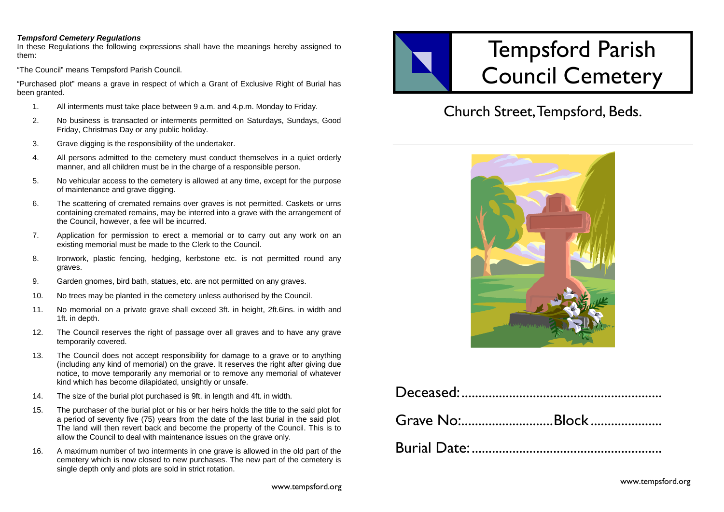## *Tempsford Cemetery Regulations*

In these Regulations the following expressions shall have the meanings hereby assigned to them:

"The Council" means Tempsford Parish Council.

"Purchased plot" means a grave in respect of which a Grant of Exclusive Right of Burial has been granted.

- 1. All interments must take place between 9 a.m. and 4.p.m. Monday to Friday.
- 2. No business is transacted or interments permitted on Saturdays, Sundays, Good Friday, Christmas Day or any public holiday.
- 3. Grave digging is the responsibility of the undertaker.
- 4. All persons admitted to the cemetery must conduct themselves in a quiet orderly manner, and all children must be in the charge of a responsible person.
- 5. No vehicular access to the cemetery is allowed at any time, except for the purpose of maintenance and grave digging.
- 6. The scattering of cremated remains over graves is not permitted. Caskets or urns containing cremated remains, may be interred into a grave with the arrangement of the Council, however, a fee will be incurred.
- 7. Application for permission to erect a memorial or to carry out any work on an existing memorial must be made to the Clerk to the Council.
- 8. Ironwork, plastic fencing, hedging, kerbstone etc. is not permitted round any graves.
- 9. Garden gnomes, bird bath, statues, etc. are not permitted on any graves.
- 10. No trees may be planted in the cemetery unless authorised by the Council.
- 11. No memorial on a private grave shall exceed 3ft. in height, 2ft.6ins. in width and 1ft. in depth.
- 12. The Council reserves the right of passage over all graves and to have any grave temporarily covered.
- 13. The Council does not accept responsibility for damage to a grave or to anything (including any kind of memorial) on the grave. It reserves the right after giving due notice, to move temporarily any memorial or to remove any memorial of whatever kind which has become dilapidated, unsightly or unsafe.
- 14. The size of the burial plot purchased is 9ft. in length and 4ft. in width.
- 15. The purchaser of the burial plot or his or her heirs holds the title to the said plot for a period of seventy five (75) years from the date of the last burial in the said plot. The land will then revert back and become the property of the Council. This is to allow the Council to deal with maintenance issues on the grave only.
- 16. A maximum number of two interments in one grave is allowed in the old part of the cemetery which is now closed to new purchases. The new part of the cemetery is single depth only and plots are sold in strict rotation.



## Church Street, Tempsford, Beds.